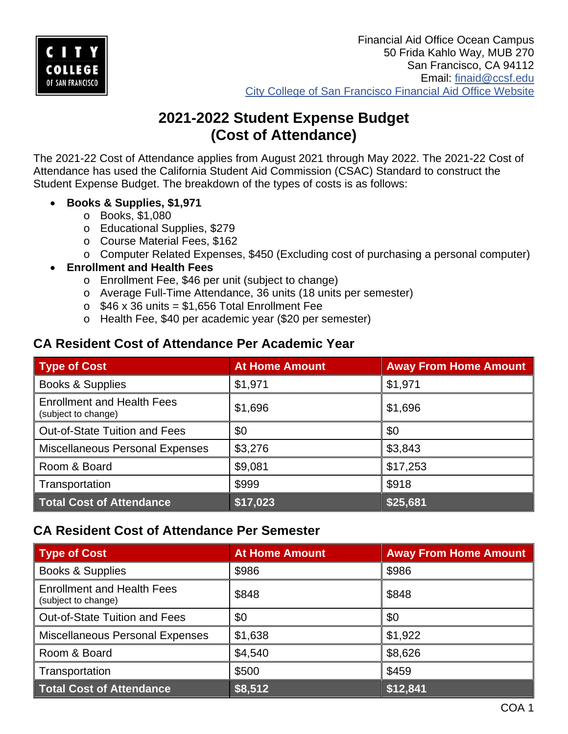

# **2021-2022 Student Expense Budget (Cost of Attendance)**

The 2021-22 Cost of Attendance applies from August 2021 through May 2022. The 2021-22 Cost of Attendance has used the California Student Aid Commission (CSAC) Standard to construct the Student Expense Budget. The breakdown of the types of costs is as follows:

- **Books & Supplies, \$1,971**
	- o Books, \$1,080
	- o Educational Supplies, \$279
	- o Course Material Fees, \$162
	- o Computer Related Expenses, \$450 (Excluding cost of purchasing a personal computer)
- **Enrollment and Health Fees**
	- o Enrollment Fee, \$46 per unit (subject to change)
	- o Average Full-Time Attendance, 36 units (18 units per semester)
	- $\circ$  \$46 x 36 units = \$1,656 Total Enrollment Fee
	- o Health Fee, \$40 per academic year (\$20 per semester)

#### **CA Resident Cost of Attendance Per Academic Year**

| <b>Type of Cost</b>                                      | <b>At Home Amount</b> | <b>Away From Home Amount</b> |
|----------------------------------------------------------|-----------------------|------------------------------|
| <b>Books &amp; Supplies</b>                              | \$1,971               | \$1,971                      |
| <b>Enrollment and Health Fees</b><br>(subject to change) | \$1,696               | \$1,696                      |
| <b>Out-of-State Tuition and Fees</b>                     | \$0                   | \$0                          |
| <b>Miscellaneous Personal Expenses</b>                   | \$3,276               | \$3,843                      |
| Room & Board                                             | \$9,081               | \$17,253                     |
| Transportation                                           | \$999                 | \$918                        |
| <b>Total Cost of Attendance</b>                          | \$17,023              | \$25,681                     |

### **CA Resident Cost of Attendance Per Semester**

| Type of Cost                                             | <b>At Home Amount</b> | <b>Away From Home Amount</b> |
|----------------------------------------------------------|-----------------------|------------------------------|
| <b>Books &amp; Supplies</b>                              | \$986                 | \$986                        |
| <b>Enrollment and Health Fees</b><br>(subject to change) | \$848                 | \$848                        |
| Out-of-State Tuition and Fees                            | \$0                   | \$0                          |
| <b>Miscellaneous Personal Expenses</b>                   | \$1,638               | \$1,922                      |
| Room & Board                                             | \$4,540               | \$8,626                      |
| Transportation                                           | \$500                 | \$459                        |
| <b>Total Cost of Attendance</b>                          | \$8,512               | \$12,841                     |